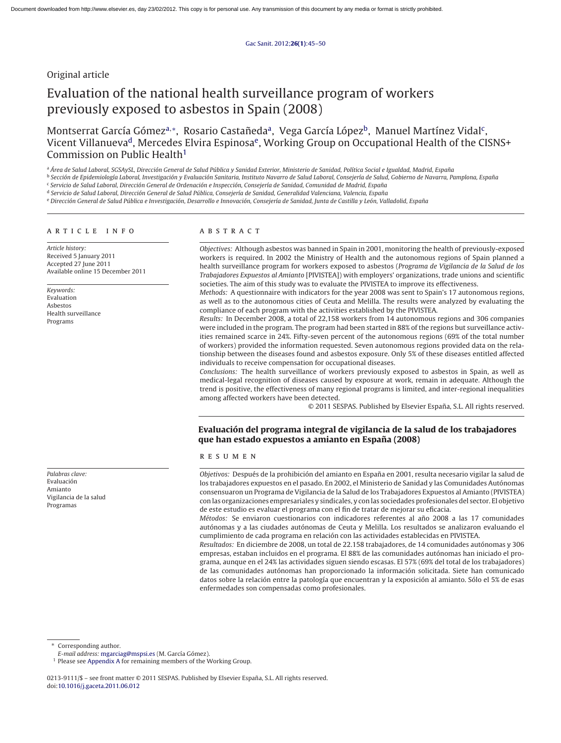# Original article

# Evaluation of the national health surveillance program of workers previously exposed to asbestos in Spain (2008)

Montserrat García Gómez<sup>a,∗</sup>, Rosario Castañeda<sup>a</sup>, Vega García López<sup>b</sup>, Manuel Martínez Vidal<sup>c</sup>, Vicent Villanueva<sup>d</sup>, Mercedes Elvira Espinosa<sup>e</sup>, Working Group on Occupational Health of the CISNS+ Commission on Public Health<sup>1</sup>

a Área de Salud Laboral, SGSAySL, Dirección General de Salud Pública y Sanidad Exterior, Ministerio de Sanidad, Política Social e Igualdad, Madrid, España

<sup>b</sup> Sección de Epidemiología Laboral, Investigación y Evaluación Sanitaria, Instituto Navarro de Salud Laboral, Consejería de Salud, Gobierno de Navarra, Pamplona, España

<sup>c</sup> Servicio de Salud Laboral, Dirección General de Ordenación e Inspección, Consejería de Sanidad, Comunidad de Madrid, España

<sup>d</sup> Servicio de Salud Laboral, Dirección General de Salud Pública, Consejería de Sanidad, Generalidad Valenciana, Valencia, España

e Dirección General de Salud Pública e Investigación, Desarrollo e Innovación, Consejería de Sanidad, Junta de Castilla y León, Valladolid, España

## article info

Article history: Received 5 January 2011 Accepted 27 June 2011 Available online 15 December 2011

Keywords: Evaluation Asbestos Health surveillance Programs

Palabras clave: Evaluación Amianto Vigilancia de la salud Programas

# ABSTRACT

Objectives: Although asbestos was banned in Spain in 2001, monitoring the health of previously-exposed workers is required. In 2002 the Ministry of Health and the autonomous regions of Spain planned a health surveillance program for workers exposed to asbestos (Programa de Vigilancia de la Salud de los Trabajadores Expuestos al Amianto [PIVISTEA]) with employers' organizations, trade unions and scientific societies. The aim of this study was to evaluate the PIVISTEA to improve its effectiveness.

Methods: A questionnaire with indicators for the year 2008 was sent to Spain's 17 autonomous regions, as well as to the autonomous cities of Ceuta and Melilla. The results were analyzed by evaluating the compliance of each program with the activities established by the PIVISTEA.

Results: In December 2008, a total of 22,158 workers from 14 autonomous regions and 306 companies were included in the program. The program had been started in 88% of the regions but surveillance activities remained scarce in 24%. Fifty-seven percent of the autonomous regions (69% of the total number of workers) provided the information requested. Seven autonomous regions provided data on the relationship between the diseases found and asbestos exposure. Only 5% of these diseases entitled affected individuals to receive compensation for occupational diseases.

Conclusions: The health surveillance of workers previously exposed to asbestos in Spain, as well as medical-legal recognition of diseases caused by exposure at work, remain in adequate. Although the trend is positive, the effectiveness of many regional programs is limited, and inter-regional inequalities among affected workers have been detected.

© 2011 SESPAS. Published by Elsevier España, S.L. All rights reserved.

# **Evaluación del programa integral de vigilancia de la salud de los trabajadores que han estado expuestos a amianto en Espana (2008) ˜**

#### RESUMEN

Objetivos: Después de la prohibición del amianto en España en 2001, resulta necesario vigilar la salud de los trabajadores expuestos en el pasado. En 2002, el Ministerio de Sanidad y las Comunidades Autónomas consensuaron un Programa de Vigilancia de la Salud de los Trabajadores Expuestos al Amianto (PIVISTEA) con las organizaciones empresariales y sindicales, y con las sociedades profesionales del sector. El objetivo de este estudio es evaluar el programa con el fin de tratar de mejorar su eficacia.

Métodos: Se enviaron cuestionarios con indicadores referentes al año 2008 a las 17 comunidades autónomas y a las ciudades autónomas de Ceuta y Melilla. Los resultados se analizaron evaluando el cumplimiento de cada programa en relación con las actividades establecidas en PIVISTEA.

Resultados: En diciembre de 2008, un total de 22.158 trabajadores, de 14 comunidades autónomas y 306 empresas, estaban incluidos en el programa. El 88% de las comunidades autónomas han iniciado el programa, aunque en el 24% las actividades siguen siendo escasas. El 57% (69% del total de los trabajadores) de las comunidades autónomas han proporcionado la información solicitada. Siete han comunicado datos sobre la relación entre la patología que encuentran y la exposición al amianto. Sólo el 5% de esas enfermedades son compensadas como profesionales.

Corresponding author.

E-mail address: [mgarciag@mspsi.es](mailto:mgarciag@mspsi.es) (M. García Gómez).

<sup>&</sup>lt;sup>1</sup> Please see [Appendix A](#page-5-0) for remaining members of the Working Group.

<sup>0213-9111/\$ –</sup> see front matter © 2011 SESPAS. Published by Elsevier España, S.L. All rights reserved. doi:[10.1016/j.gaceta.2011.06.012](dx.doi.org/10.1016/j.gaceta.2011.06.012)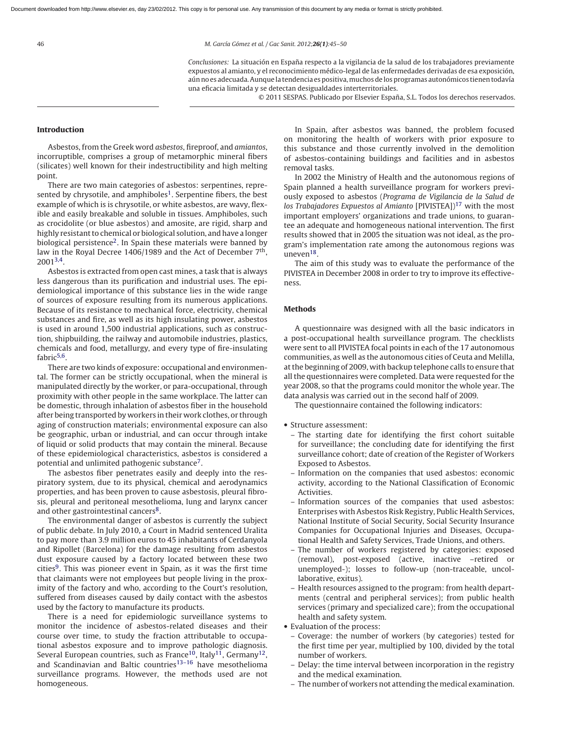46 M. García Gómez et al. / Gac Sanit. 2012;**26(1)**:45–50

Conclusiones: La situación en España respecto a la vigilancia de la salud de los trabajadores previamente expuestos al amianto, y el reconocimiento médico-legal de las enfermedades derivadas de esa exposición, aún no es adecuada. Aunque la tendencia es positiva, muchos de los programas autonómicos tienen todavía una eficacia limitada y se detectan desigualdades interterritoriales.

© 2011 SESPAS. Publicado por Elsevier España, S.L. Todos los derechos reservados.

## **Introduction**

Asbestos, from the Greek word asbestos, fireproof, and amiantos, incorruptible, comprises a group of metamorphic mineral fibers (silicates) well known for their indestructibility and high melting point.

There are two main categories of asbestos: serpentines, represented by chrysotile, and amphiboles<sup>1</sup>. Serpentine fibers, the best example of which is is chrysotile, or white asbestos, are wavy, flexible and easily breakable and soluble in tissues. Amphiboles, such as crocidolite (or blue asbestos) and amosite, are rigid, sharp and highly resistant to chemical or biological solution, and have a longer biological persistence<sup>2</sup>. In Spain these materials were banned by law in the Royal Decree 1406/1989 and the Act of December  $7<sup>th</sup>$ ,  $2001^{3,4}$ .

Asbestos is extracted from open cast mines, a task that is always less dangerous than its purification and industrial uses. The epidemiological importance of this substance lies in the wide range of sources of exposure resulting from its numerous applications. Because of its resistance to mechanical force, electricity, chemical substances and fire, as well as its high insulating power, asbestos is used in around 1,500 industrial applications, such as construction, shipbuilding, the railway and automobile industries, plastics, chemicals and food, metallurgy, and every type of fire-insulating fabric<sup>5,6</sup>.

There are two kinds of exposure: occupational and environmental. The former can be strictly occupational, when the mineral is manipulated directly by the worker, or para-occupational, through proximity with other people in the same workplace. The latter can be domestic, through inhalation of asbestos fiber in the household after being transported by workers in their work clothes, or through aging of construction materials; environmental exposure can also be geographic, urban or industrial, and can occur through intake of liquid or solid products that may contain the mineral. Because of these epidemiological characteristics, asbestos is considered a potential and unlimited pathogenic substance[7.](#page-5-0)

The asbestos fiber penetrates easily and deeply into the respiratory system, due to its physical, chemical and aerodynamics properties, and has been proven to cause asbestosis, pleural fibrosis, pleural and peritoneal mesothelioma, lung and larynx cancer and other gastrointestinal cancers<sup>8</sup>.

The environmental danger of asbestos is currently the subject of public debate. In July 2010, a Court in Madrid sentenced Uralita to pay more than 3.9 million euros to 45 inhabitants of Cerdanyola and Ripollet (Barcelona) for the damage resulting from asbestos dust exposure caused by a factory located between these two cities<sup>9</sup>. This was pioneer event in Spain, as it was the first time that claimants were not employees but people living in the proximity of the factory and who, according to the Court's resolution, suffered from diseases caused by daily contact with the asbestos used by the factory to manufacture its products.

There is a need for epidemiologic surveillance systems to monitor the incidence of asbestos-related diseases and their course over time, to study the fraction attributable to occupational asbestos exposure and to improve pathologic diagnosis. Several European countries, such as France<sup>10</sup>, Italy<sup>11</sup>, Germany<sup>12</sup>, and Scandinavian and Baltic countries<sup>13-16</sup> have mesothelioma surveillance programs. However, the methods used are not homogeneous.

In Spain, after asbestos was banned, the problem focused on monitoring the health of workers with prior exposure to this substance and those currently involved in the demolition of asbestos-containing buildings and facilities and in asbestos removal tasks.

In 2002 the Ministry of Health and the autonomous regions of Spain planned a health surveillance program for workers previously exposed to asbestos (Programa de Vigilancia de la Salud de los Trabajadores Expuestos al Amianto [PIVISTEA])<sup>[17](#page-5-0)</sup> with the most important employers' organizations and trade unions, to guarantee an adequate and homogeneous national intervention. The first results showed that in 2005 the situation was not ideal, as the program's implementation rate among the autonomous regions was uneven<sup>18</sup>.

The aim of this study was to evaluate the performance of the PIVISTEA in December 2008 in order to try to improve its effectiveness.

## **Methods**

A questionnaire was designed with all the basic indicators in a post-occupational health surveillance program. The checklists were sent to all PIVISTEA focal points in each of the 17 autonomous communities, as well as the autonomous cities of Ceuta and Melilla, at the beginning of 2009, with backup telephone calls to ensure that all the questionnaires were completed. Data were requested for the year 2008, so that the programs could monitor the whole year. The data analysis was carried out in the second half of 2009.

The questionnaire contained the following indicators:

- Structure assessment:
	- The starting date for identifying the first cohort suitable for surveillance; the concluding date for identifying the first surveillance cohort; date of creation of the Register of Workers Exposed to Asbestos.
	- Information on the companies that used asbestos: economic activity, according to the National Classification of Economic Activities.
	- Information sources of the companies that used asbestos: Enterprises with Asbestos Risk Registry, Public Health Services, National Institute of Social Security, Social Security Insurance Companies for Occupational Injuries and Diseases, Occupational Health and Safety Services, Trade Unions, and others.
	- The number of workers registered by categories: exposed (removal), post-exposed (active, inactive –retired or unemployed-); losses to follow-up (non-traceable, uncollaborative, exitus).
	- Health resources assigned to the program: from health departments (central and peripheral services); from public health services (primary and specialized care); from the occupational health and safety system.
- Evaluation of the process:
	- Coverage: the number of workers (by categories) tested for the first time per year, multiplied by 100, divided by the total number of workers.
	- Delay: the time interval between incorporation in the registry and the medical examination.
	- The number of workers not attending the medical examination.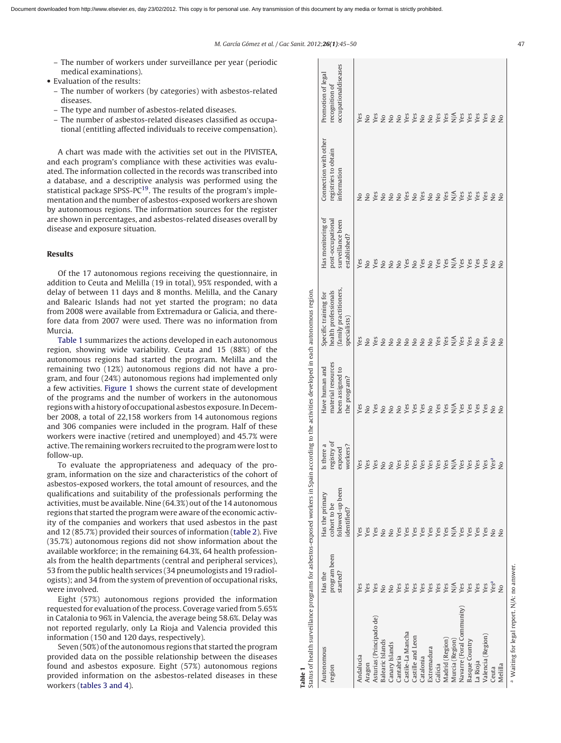- The number of workers under surveillance per year (periodic medical examinations).
- Evaluation of the results:
	- The number of workers (by categories) with asbestos-related diseases.
	- The type and number of asbestos-related diseases.
	- The number of asbestos-related diseases classified as occupational (entitling affected individuals to receive compensation).

A chart was made with the activities set out in the PIVISTEA, and each program's compliance with these activities was evaluated. The information collected in the records was transcribed into a database, and a descriptive analysis was performed using the statistical package SPSS-P[C19. T](#page-5-0)he results of the program's implementation and the number of asbestos-exposed workers are shown by autonomous regions. The information sources for the register are shown in percentages, and asbestos-related diseases overall by disease and exposure situation.

# **Results**

Of the 17 autonomous regions receiving the questionnaire, in addition to Ceuta and Melilla (19 in total), 95% responded, with a delay of between 11 days and 8 months. Melilla, and the Canary and Balearic Islands had not yet started the program; no data from 2008 were available from Extremadura or Galicia, and therefore data from 2007 were used. There was no information from Murcia.

Table 1 summarizes the actions developed in each autonomous region, showing wide variability. Ceuta and 15 (88%) of the autonomous regions had started the program. Melilla and the remaining two (12%) autonomous regions did not have a program, and four (24%) autonomous regions had implemented only a few activities. [Figure 1](#page-3-0) shows the current state of development of the programs and the number of workers in the autonomous regions with a history of occupational asbestos exposure. In December 2008, a total of 22,158 workers from 14 autonomous regions and 306 companies were included in the program. Half of these workers were inactive (retired and unemployed) and 45.7% were active. The remaining workers recruited to the program were lost to follow-up.

To evaluate the appropriateness and adequacy of the program, information on the size and characteristics of the cohort of asbestos-exposed workers, the total amount of resources, and the qualifications and suitability of the professionals performing the activities, must be available. Nine (64.3%) out of the 14 autonomous regions that started the program were aware of the economic activity of the companies and workers that used asbestos in the past and 12 (85.7%) provided their sources of information [\(table 2\).](#page-3-0) Five (35.7%) autonomous regions did not show information about the available workforce; in the remaining 64.3%, 64 health professionals from the health departments (central and peripheral services), 53 from the public health services (34 pneumologists and 19 radiologists); and 34 from the system of prevention of occupational risks, were involved.

Eight (57%) autonomous regions provided the information requested for evaluation of the process. Coverage varied from 5.65% in Catalonia to 96% in Valencia, the average being 58.6%. Delay was not reported regularly, only La Rioja and Valencia provided this information (150 and 120 days, respectively).

Seven (50%) of the autonomous regions that started the program provided data on the possible relationship between the diseases found and asbestos exposure. Eight (57%) autonomous regions provided information on the asbestos-related diseases in these workers [\(tables 3 and 4\).](#page-3-0)

| Status of health surveillance programs for asbestos-exposed workers in Spain according to the activities developed in each autonomous region.<br>Table 1 |                                     |                                                                    |                                                  |                                                                          |                                                                                        |                                                                             |                                                              |                                                              |
|----------------------------------------------------------------------------------------------------------------------------------------------------------|-------------------------------------|--------------------------------------------------------------------|--------------------------------------------------|--------------------------------------------------------------------------|----------------------------------------------------------------------------------------|-----------------------------------------------------------------------------|--------------------------------------------------------------|--------------------------------------------------------------|
| Autonomous<br>region                                                                                                                                     | program been<br>started?<br>Has the | followed-up been<br>Has the primary<br>cohort to be<br>identified? | registry of<br>Is there a<br>workers?<br>exposed | material resources<br>Have human and<br>been assigned to<br>the program? | family practitioners,<br>health professionals<br>Specific training for<br>specialists) | Has monitoring of<br>post-occupational<br>surveillance been<br>established? | Connection with other<br>registries to obtain<br>information | occupationaldiseases<br>Promotion of legal<br>recognition of |
| Andalucia                                                                                                                                                | Yes                                 | Yes                                                                |                                                  | Yes                                                                      | Yes                                                                                    | Yes                                                                         |                                                              | Yes                                                          |
| Aragon                                                                                                                                                   | Yes                                 | Yes                                                                | Yes<br>Yes                                       | $\frac{1}{2}$                                                            | $\frac{1}{2}$                                                                          | $\frac{1}{2}$                                                               | $\frac{1}{2}$                                                | $\overline{2}$                                               |
| Asturias (Principado de)                                                                                                                                 | Yes                                 | Yes                                                                | Yes                                              | Yes                                                                      | Yes                                                                                    | Yes                                                                         | <b>SES</b>                                                   | Yes                                                          |
| <b>Balearic Islands</b>                                                                                                                                  | $\frac{1}{2}$                       | $\overline{\mathsf{S}}$                                            | $\epsilon$                                       | $\tilde{z}$                                                              | $\overline{\mathsf{S}}$                                                                | $\overline{\mathsf{z}}$                                                     |                                                              | $\overline{\mathsf{S}}$                                      |
| Canary Islands                                                                                                                                           | $\overline{a}$                      | $\overline{\mathsf{S}}$                                            | $\epsilon$                                       | $\tilde{z}$                                                              | $\overline{\mathsf{z}}$                                                                | $\overline{\mathsf{z}}$                                                     |                                                              | $\frac{1}{2}$                                                |
| Cantabria                                                                                                                                                | Yes                                 | Yes                                                                | Yes                                              | $\frac{1}{2}$                                                            | $\frac{1}{2}$                                                                          | $\frac{1}{2}$                                                               | $\overline{Q}$                                               | $\overline{Q}$                                               |
| Castile-La Mancha                                                                                                                                        | Yes                                 | Yes                                                                | Yes                                              | Yes                                                                      | $\overline{Q}$                                                                         | Yes                                                                         |                                                              | Yes                                                          |
| Castille and Leon                                                                                                                                        | Yes                                 | Yes                                                                | Yes                                              | Yes                                                                      | $\overline{Q}$                                                                         | $\frac{1}{2}$                                                               | <b>Yes</b><br>Nessex<br>Nessex                               | Yes                                                          |
| Catalonia                                                                                                                                                | Yes                                 | Yes                                                                | Yes                                              | Yes                                                                      | $\mathop{\mathsf{S}}$                                                                  | Yes                                                                         |                                                              | $\mathop{\mathsf{S}}$                                        |
| Extremadura                                                                                                                                              | Yes                                 | Yes                                                                | Yes                                              | $\frac{1}{2}$                                                            | $\frac{1}{2}$                                                                          | $\mathop{\mathsf{S}}$                                                       |                                                              | $\overline{a}$                                               |
| Galicia                                                                                                                                                  | Yes                                 | Yes                                                                | Yes                                              | Yes                                                                      | Yes                                                                                    | Yes                                                                         |                                                              | Yes                                                          |
| Madrid (Region)                                                                                                                                          | Yes                                 | Yes                                                                | Yes                                              | Yes                                                                      | Yes                                                                                    | Yes                                                                         |                                                              | Yes                                                          |
| Murcia (Region)                                                                                                                                          | $\frac{1}{N}$                       | $\stackrel{\triangle}{N}$                                          | $\sum_{Y \in S} X$                               | $\frac{1}{N}$                                                            | $\frac{1}{N}$                                                                          | $\frac{1}{2}$                                                               |                                                              | $\frac{1}{N}$                                                |
| Navarre (Foral Community)                                                                                                                                | Yes                                 | Yes                                                                |                                                  | Yes                                                                      | Yes                                                                                    | Yes                                                                         |                                                              | Yes                                                          |
| Basque Country                                                                                                                                           | Yes                                 | Yes                                                                |                                                  | Yes                                                                      | Yes                                                                                    | Yes                                                                         | Yes                                                          | Yes                                                          |
| La Rioja                                                                                                                                                 | Yes                                 | Yes                                                                | Yes                                              | Yes                                                                      | $\frac{1}{2}$                                                                          | Yes                                                                         | Yes                                                          | Yes                                                          |
| Valencia (Region)                                                                                                                                        | Yes                                 | Yes                                                                | Yes                                              | Yes                                                                      | Yes                                                                                    | Yes                                                                         | Yes                                                          | Yes                                                          |
| Ceuta                                                                                                                                                    | Yesa                                | $\overline{\mathsf{X}}$                                            | Yesa                                             | Δo                                                                       | Δo                                                                                     | $\overline{\mathsf{a}}$                                                     | ΣÓ                                                           | $\overline{\mathsf{S}}$                                      |
| Melilla                                                                                                                                                  | δN                                  | $\frac{1}{2}$                                                      | ş                                                | $\frac{1}{2}$                                                            | $\frac{1}{2}$                                                                          | $\frac{1}{2}$                                                               | $\frac{1}{2}$                                                | $\frac{1}{2}$                                                |
| $-511A$<br>$-3.3337 + 2.423$ and $-2.4337 + 1.4237 + 1.423$                                                                                              |                                     |                                                                    |                                                  |                                                                          |                                                                                        |                                                                             |                                                              |                                                              |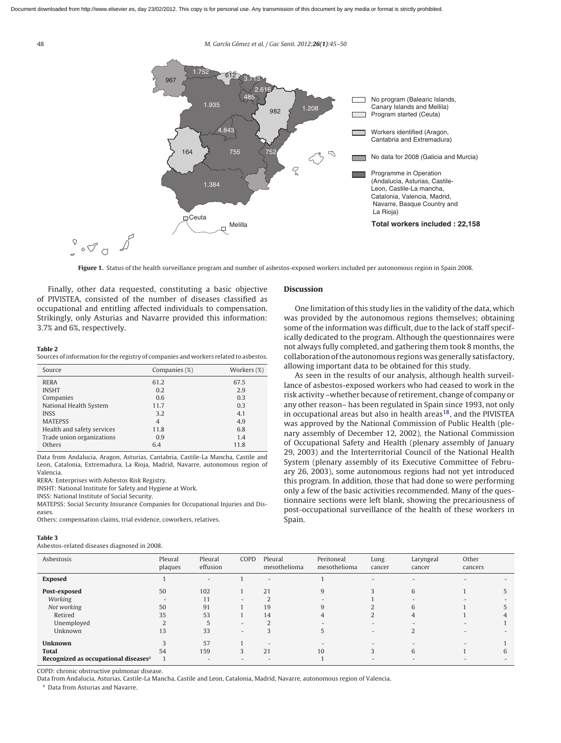<span id="page-3-0"></span>48 M. García Gómez et al. / Gac Sanit. 2012;**26(1)**:45–50



Figure 1. Status of the health surveillance program and number of asbestos-exposed workers included per autonomous region in Spain 2008.

Finally, other data requested, constituting a basic objective of PIVISTEA, consisted of the number of diseases classified as occupational and entitling affected individuals to compensation. Strikingly, only Asturias and Navarre provided this information: 3.7% and 6%, respectively.

#### **Table 2**

Sources of information for the registry of companies and workers related to asbestos.

| Source                     | Companies (%)  | Workers (%) |
|----------------------------|----------------|-------------|
| <b>RERA</b>                | 61.2           | 67.5        |
| <b>INSHT</b>               | 0.2            | 2.9         |
| Companies                  | 0.6            | 0.3         |
| National Health System     | 11.7           | 0.3         |
| <b>INSS</b>                | 3.2            | 4.1         |
| <b>MATEPSS</b>             | $\overline{4}$ | 4.9         |
| Health and safety services | 11.8           | 6.8         |
| Trade union organizations  | 0.9            | 1.4         |
| Others                     | 6.4            | 11.8        |

Data from Andalucia, Aragon, Asturias, Cantabria, Castile-La Mancha, Castile and Leon, Catalonia, Extremadura, La Rioja, Madrid, Navarre, autonomous region of Valencia.

RERA: Enterprises with Asbestos Risk Registry.

INSHT: National Institute for Safety and Hygiene at Work.

INSS: National Institute of Social Security.

MATEPSS: Social Security Insurance Companies for Occupational Injuries and Diseases.

Others: compensation claims, trial evidence, coworkers, relatives.

#### **Table 3**

Asbestos-related diseases diagnosed in 2008.

## **Discussion**

One limitation of this study lies in the validity of the data, which was provided by the autonomous regions themselves; obtaining some of the information was difficult, due to the lack of staff specifically dedicated to the program. Although the questionnaires were not always fully completed, and gathering them took 8 months, the collaboration of the autonomous regions was generally satisfactory, allowing important data to be obtained for this study.

As seen in the results of our analysis, although health surveillance of asbestos-exposed workers who had ceased to work in the risk activity –whether because of retirement, change of company or any other reason– has been regulated in Spain since 1993, not only in occupational areas but also in health areas<sup>18</sup>, and the PIVISTEA was approved by the National Commission of Public Health (plenary assembly of December 12, 2002), the National Commission of Occupational Safety and Health (plenary assembly of January 29, 2003) and the Interterritorial Council of the National Health System (plenary assembly of its Executive Committee of February 26, 2003), some autonomous regions had not yet introduced this program. In addition, those that had done so were performing only a few of the basic activities recommended. Many of the questionnaire sections were left blank, showing the precariousness of post-occupational surveillance of the health of these workers in Spain.

| Asbestosis                                       | Pleural<br>plaques       | Pleural<br>effusion      | COPD                     | Pleural<br>mesothelioma  | Peritoneal<br>mesothelioma | Lung<br>cancer           | Laryngeal<br>cancer      | Other<br>cancers         |    |
|--------------------------------------------------|--------------------------|--------------------------|--------------------------|--------------------------|----------------------------|--------------------------|--------------------------|--------------------------|----|
| <b>Exposed</b>                                   |                          | $\overline{\phantom{0}}$ |                          | $\overline{\phantom{a}}$ |                            |                          |                          |                          |    |
| Post-exposed                                     | 50                       | 102                      |                          | 21                       | 9                          | $\mathbf{3}$             | 6                        |                          | C. |
| Working                                          | $\overline{\phantom{0}}$ | 11                       | $\overline{\phantom{a}}$ | ำ                        | $\overline{\phantom{0}}$   |                          | $\overline{\phantom{a}}$ | $\overline{\phantom{0}}$ |    |
| Not working                                      | 50                       | 91                       |                          | 19                       | 9                          |                          | 6                        |                          |    |
| Retired                                          | 35                       | 53                       |                          | 14                       | 4                          |                          | 4                        |                          | 4  |
| Unemployed                                       | <sup>1</sup>             | 5                        | $\overline{\phantom{a}}$ | $\overline{2}$           | $\sim$                     | $\overline{\phantom{0}}$ | $\overline{\phantom{a}}$ | $\overline{\phantom{a}}$ |    |
| Unknown                                          | 13                       | 33                       | $\overline{\phantom{a}}$ |                          | 5                          | $\overline{\phantom{0}}$ |                          | $\overline{\phantom{0}}$ |    |
| <b>Unknown</b>                                   |                          | 57                       |                          | $\overline{\phantom{a}}$ |                            |                          |                          | $\overline{\phantom{0}}$ |    |
| <b>Total</b>                                     | 54                       | 159                      | 3                        | 21                       | 10                         | 3                        | 6                        |                          | 6  |
| Recognized as occupational diseases <sup>a</sup> |                          | $\overline{\phantom{0}}$ | $\overline{\phantom{0}}$ |                          |                            |                          |                          |                          |    |

COPD: chronic obstructive pulmonar disease.

Data from Andalucia, Asturias, Castile-La Mancha, Castile and Leon, Catalonia, Madrid, Navarre, autonomous region of Valencia.

<sup>a</sup> Data from Asturias and Navarre.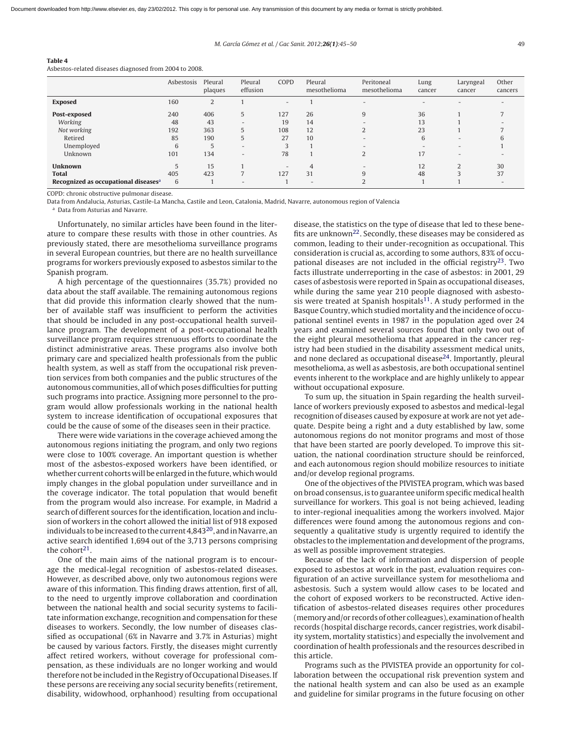#### M. García Gómez et al. / Gac Sanit. 2012;**26(1)**:45–50 49

## **Table 4**

Asbestos-related diseases diagnosed from 2004 to 2008.

|                                                  | Asbestosis | Pleural<br>plaques | Pleural<br>effusion      | COPD | Pleural<br>mesothelioma  | Peritoneal<br>mesothelioma | Lung<br>cancer           | Laryngeal<br>cancer      | Other<br>cancers |
|--------------------------------------------------|------------|--------------------|--------------------------|------|--------------------------|----------------------------|--------------------------|--------------------------|------------------|
| <b>Exposed</b>                                   | 160        | 2                  |                          | $-$  |                          | $\overline{\phantom{0}}$   | $\overline{\phantom{0}}$ |                          |                  |
| Post-exposed                                     | 240        | 406                | 5                        | 127  | 26                       | 9                          | 36                       |                          |                  |
| Working                                          | 48         | 43                 | $\overline{\phantom{a}}$ | 19   | 14                       | $\overline{\phantom{0}}$   | 13                       |                          |                  |
| Not working                                      | 192        | 363                | 5                        | 108  | 12                       |                            | 23                       |                          |                  |
| Retired                                          | 85         | 190                | 5                        | 27   | 10                       |                            | 6                        | $\overline{\phantom{0}}$ |                  |
| Unemployed                                       | 6          | 5                  | $\overline{\phantom{a}}$ |      |                          |                            |                          | -                        |                  |
| Unknown                                          | 101        | 134                | $\overline{\phantom{a}}$ | 78   |                          |                            | 17                       | -                        |                  |
| <b>Unknown</b>                                   |            | 15                 |                          |      |                          |                            | 12                       | $\mathbf{\Omega}$        | 30               |
| <b>Total</b>                                     | 405        | 423                |                          | 127  | 31                       | q                          | 48                       |                          | 37               |
| Recognized as occupational diseases <sup>a</sup> | 6          |                    | $-$                      |      | $\overline{\phantom{a}}$ |                            |                          |                          |                  |

COPD: chronic obstructive pulmonar disease.

Data from Andalucia, Asturias, Castile-La Mancha, Castile and Leon, Catalonia, Madrid, Navarre, autonomous region of Valencia

<sup>a</sup> Data from Asturias and Navarre.

Unfortunately, no similar articles have been found in the literature to compare these results with those in other countries. As previously stated, there are mesothelioma surveillance programs in several European countries, but there are no health surveillance programs for workers previously exposed to asbestos similar to the Spanish program.

A high percentage of the questionnaires (35.7%) provided no data about the staff available. The remaining autonomous regions that did provide this information clearly showed that the number of available staff was insufficient to perform the activities that should be included in any post-occupational health surveillance program. The development of a post-occupational health surveillance program requires strenuous efforts to coordinate the distinct administrative areas. These programs also involve both primary care and specialized health professionals from the public health system, as well as staff from the occupational risk prevention services from both companies and the public structures of the autonomous communities, all of which poses difficulties for putting such programs into practice. Assigning more personnel to the program would allow professionals working in the national health system to increase identification of occupational exposures that could be the cause of some of the diseases seen in their practice.

There were wide variations in the coverage achieved among the autonomous regions initiating the program, and only two regions were close to 100% coverage. An important question is whether most of the asbestos-exposed workers have been identified, or whether current cohorts will be enlarged in the future, which would imply changes in the global population under surveillance and in the coverage indicator. The total population that would benefit from the program would also increase. For example, in Madrid a search of different sources for the identification, location and inclusion of workers in the cohort allowed the initial list of 918 exposed individuals to be increased to the current 4,843[20, a](#page-5-0)nd in Navarre, an active search identified 1,694 out of the 3,713 persons comprising the cohort $21$ .

One of the main aims of the national program is to encourage the medical-legal recognition of asbestos-related diseases. However, as described above, only two autonomous regions were aware of this information. This finding draws attention, first of all, to the need to urgently improve collaboration and coordination between the national health and social security systems to facilitate information exchange, recognition and compensation for these diseases to workers. Secondly, the low number of diseases classified as occupational (6% in Navarre and 3.7% in Asturias) might be caused by various factors. Firstly, the diseases might currently affect retired workers, without coverage for professional compensation, as these individuals are no longer working and would therefore not be included in the Registry of Occupational Diseases. If these persons are receiving any social security benefits (retirement, disability, widowhood, orphanhood) resulting from occupational

disease, the statistics on the type of disease that led to these benefits are unknown[22. S](#page-5-0)econdly, these diseases may be considered as common, leading to their under-recognition as occupational. This consideration is crucial as, according to some authors, 83% of occupational diseases are not included in the official registry $^{23}$ . Two facts illustrate underreporting in the case of asbestos: in 2001, 29 cases of asbestosis were reported in Spain as occupational diseases, while during the same year 210 people diagnosed with asbestosis were treated at Spanish hospitals<sup>11</sup>. A study performed in the Basque Country, which studied mortality and the incidence of occupational sentinel events in 1987 in the population aged over 24 years and examined several sources found that only two out of the eight pleural mesothelioma that appeared in the cancer registry had been studied in the disability assessment medical units, and none declared as occupational disease $24$ . Importantly, pleural mesothelioma, as well as asbestosis, are both occupational sentinel events inherent to the workplace and are highly unlikely to appear without occupational exposure.

To sum up, the situation in Spain regarding the health surveillance of workers previously exposed to asbestos and medical-legal recognition of diseases caused by exposure at work are not yet adequate. Despite being a right and a duty established by law, some autonomous regions do not monitor programs and most of those that have been started are poorly developed. To improve this situation, the national coordination structure should be reinforced, and each autonomous region should mobilize resources to initiate and/or develop regional programs.

One of the objectives of the PIVISTEA program, which was based on broad consensus, is to guarantee uniform specific medical health surveillance for workers. This goal is not being achieved, leading to inter-regional inequalities among the workers involved. Major differences were found among the autonomous regions and consequently a qualitative study is urgently required to identify the obstacles to the implementation and development of the programs, as well as possible improvement strategies.

Because of the lack of information and dispersion of people exposed to asbestos at work in the past, evaluation requires configuration of an active surveillance system for mesothelioma and asbestosis. Such a system would allow cases to be located and the cohort of exposed workers to be reconstructed. Active identification of asbestos-related diseases requires other procedures (memory and/or records of other colleagues), examination of health records (hospital discharge records, cancer registries, work disability system, mortality statistics) and especially the involvement and coordination of health professionals and the resources described in this article.

Programs such as the PIVISTEA provide an opportunity for collaboration between the occupational risk prevention system and the national health system and can also be used as an example and guideline for similar programs in the future focusing on other